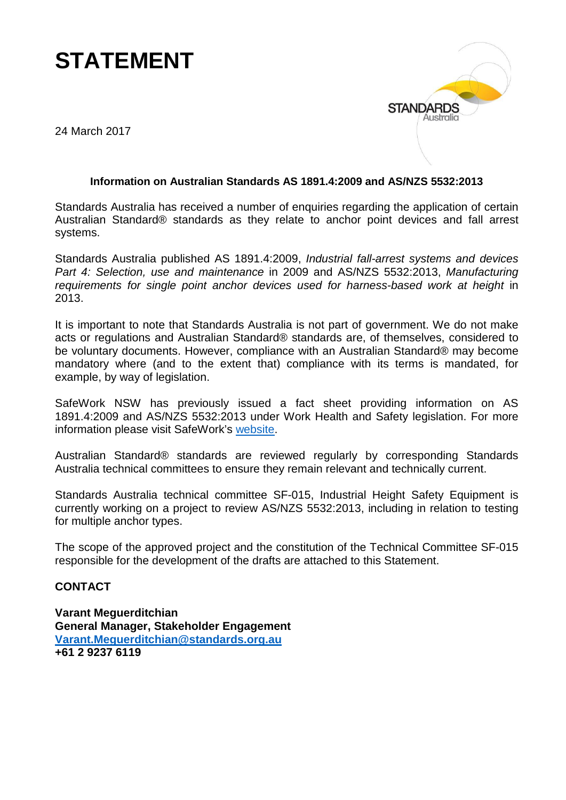## **STATEMENT**



24 March 2017

## **Information on Australian Standards AS 1891.4:2009 and AS/NZS 5532:2013**

Standards Australia has received a number of enquiries regarding the application of certain Australian Standard® standards as they relate to anchor point devices and fall arrest systems.

Standards Australia published AS 1891.4:2009, *Industrial fall-arrest systems and devices Part 4: Selection, use and maintenance* in 2009 and AS/NZS 5532:2013, *Manufacturing requirements for single point anchor devices used for harness-based work at height* in 2013.

It is important to note that Standards Australia is not part of government. We do not make acts or regulations and Australian Standard® standards are, of themselves, considered to be voluntary documents. However, compliance with an Australian Standard® may become mandatory where (and to the extent that) compliance with its terms is mandated, for example, by way of legislation.

SafeWork NSW has previously issued a fact sheet providing information on AS 1891.4:2009 and AS/NZS 5532:2013 under Work Health and Safety legislation. For more information please visit SafeWork's [website.](http://www.safework.nsw.gov.au/media/publications/health-and-safety/fall-arrest-anchors)

Australian Standard® standards are reviewed regularly by corresponding Standards Australia technical committees to ensure they remain relevant and technically current.

Standards Australia technical committee SF-015, Industrial Height Safety Equipment is currently working on a project to review AS/NZS 5532:2013, including in relation to testing for multiple anchor types.

The scope of the approved project and the constitution of the Technical Committee SF-015 responsible for the development of the drafts are attached to this Statement.

## **CONTACT**

**Varant Meguerditchian General Manager, Stakeholder Engagement [Varant.Meguerditchian@standards.org.au](mailto:Varant.Meguerditchian@standards.org.au) +61 2 9237 6119**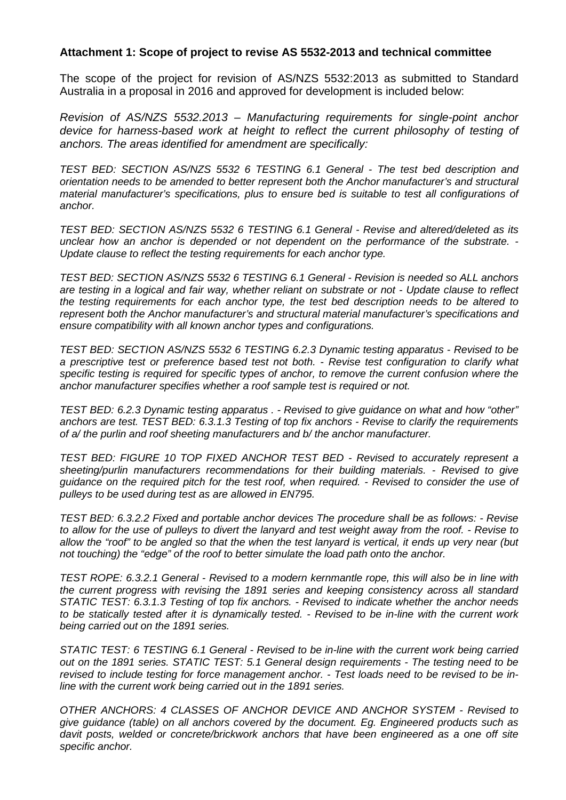## **Attachment 1: Scope of project to revise AS 5532-2013 and technical committee**

The scope of the project for revision of AS/NZS 5532:2013 as submitted to Standard Australia in a proposal in 2016 and approved for development is included below:

*Revision of AS/NZS 5532.2013 – Manufacturing requirements for single-point anchor*  device for harness-based work at height to reflect the current philosophy of testing of *anchors. The areas identified for amendment are specifically:*

*TEST BED: SECTION AS/NZS 5532 6 TESTING 6.1 General - The test bed description and orientation needs to be amended to better represent both the Anchor manufacturer's and structural material manufacturer's specifications, plus to ensure bed is suitable to test all configurations of anchor.*

*TEST BED: SECTION AS/NZS 5532 6 TESTING 6.1 General - Revise and altered/deleted as its unclear how an anchor is depended or not dependent on the performance of the substrate. - Update clause to reflect the testing requirements for each anchor type.*

*TEST BED: SECTION AS/NZS 5532 6 TESTING 6.1 General - Revision is needed so ALL anchors are testing in a logical and fair way, whether reliant on substrate or not - Update clause to reflect the testing requirements for each anchor type, the test bed description needs to be altered to represent both the Anchor manufacturer's and structural material manufacturer's specifications and ensure compatibility with all known anchor types and configurations.*

*TEST BED: SECTION AS/NZS 5532 6 TESTING 6.2.3 Dynamic testing apparatus - Revised to be a prescriptive test or preference based test not both. - Revise test configuration to clarify what specific testing is required for specific types of anchor, to remove the current confusion where the anchor manufacturer specifies whether a roof sample test is required or not.*

*TEST BED: 6.2.3 Dynamic testing apparatus . - Revised to give guidance on what and how "other" anchors are test. TEST BED: 6.3.1.3 Testing of top fix anchors - Revise to clarify the requirements of a/ the purlin and roof sheeting manufacturers and b/ the anchor manufacturer.*

*TEST BED: FIGURE 10 TOP FIXED ANCHOR TEST BED - Revised to accurately represent a sheeting/purlin manufacturers recommendations for their building materials. - Revised to give guidance on the required pitch for the test roof, when required. - Revised to consider the use of pulleys to be used during test as are allowed in EN795.*

*TEST BED: 6.3.2.2 Fixed and portable anchor devices The procedure shall be as follows: - Revise to allow for the use of pulleys to divert the lanyard and test weight away from the roof. - Revise to allow the "roof" to be angled so that the when the test lanyard is vertical, it ends up very near (but not touching) the "edge" of the roof to better simulate the load path onto the anchor.*

*TEST ROPE: 6.3.2.1 General - Revised to a modern kernmantle rope, this will also be in line with the current progress with revising the 1891 series and keeping consistency across all standard STATIC TEST: 6.3.1.3 Testing of top fix anchors. - Revised to indicate whether the anchor needs to be statically tested after it is dynamically tested. - Revised to be in-line with the current work being carried out on the 1891 series.*

*STATIC TEST: 6 TESTING 6.1 General - Revised to be in-line with the current work being carried out on the 1891 series. STATIC TEST: 5.1 General design requirements - The testing need to be revised to include testing for force management anchor. - Test loads need to be revised to be inline with the current work being carried out in the 1891 series.*

*OTHER ANCHORS: 4 CLASSES OF ANCHOR DEVICE AND ANCHOR SYSTEM - Revised to give guidance (table) on all anchors covered by the document. Eg. Engineered products such as*  davit posts, welded or concrete/brickwork anchors that have been engineered as a one off site *specific anchor.*